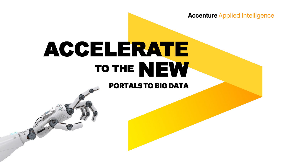**Accenture Applied Intelligence** 

# ACCELERATE TO THE NEW

# PORTALS TO BIG DATA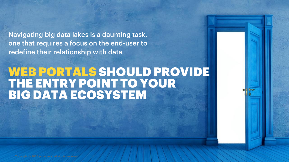Navigating big data lakes is a daunting task, one that requires a focus on the end-user to redefine their relationship with data

Copyright © 2018 Accenture. All rights reserved.

# WEB PORTALS SHOULD PROVIDE THE ENTRY POINT TO YOUR BIG DATA ECOSYSTEM

2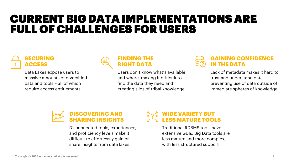# CURRENT BIG DATA IMPLEMENTATIONS ARE FULL OF CHALLENGES FOR USERS



Data Lakes expose users to massive amounts of diversified data and tools – all of which require access entitlements



Users don't know what's available and where, making it difficult to find the data they need and creating silos of tribal knowledge

### **GAINING CONFIDENCE IN THE DATA**

Lack of metadata makes it hard to trust and understand data preventing use of data outside of immediate spheres of knowledge



Disconnected tools, experiences, and proficiency levels make it difficult to effortlessly gain or share insights from data lakes

## **A<sub>2</sub><sup>8</sup> WIDE VARIETY BUT LESS MATURE TOOLS**

Traditional RDBMS tools have extensive GUIs, Big Data tools are less mature and more complex, with less structured support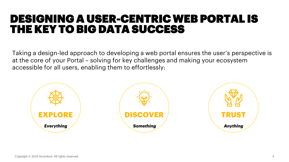# DESIGNING A USER-CENTRIC WEB PORTAL IS THE KEY TO BIG DATA SUCCESS

Taking a design-led approach to developing a web portal ensures the user's perspective is at the core of your Portal – solving for key challenges and making your ecosystem accessible for all users, enabling them to effortlessly:

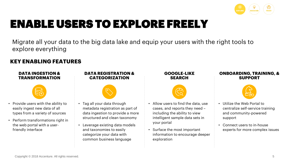

# ENABLE USERS TO EXPLORE FREELY

Migrate all your data to the big data lake and equip your users with the right tools to explore everything

### **KEY ENABLING FEATURES**

#### **DATA INGESTION & TRANSFORMATION**



- Provide users with the ability to easily ingest new data of all types from a variety of sources
- Perform transformations right in the web portal with a userfriendly interface

#### **DATA REGISTRATION & CATEGORIZATION**



- Tag all your data through metadata registration as part of data ingestion to provide a more structured and clean taxonomy
- Leverage existing data models and taxonomies to easily categorize your data with common business language

### **GOOGLE-LIKE SEARCH**



- Allow users to find the data, use cases, and reports they need – including the ability to view intelligent sample data sets in your portal
- Surface the most important information to encourage deeper exploration

#### **ONBOARDING, TRAINING, & SUPPORT**



- Utilize the Web Portal to centralize self-service training and community-powered support
- Connect users to in-house experts for more complex issues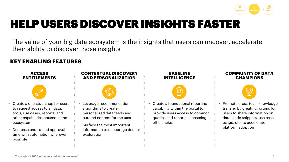

# HELP USERS DISCOVER INSIGHTS FASTER

The value of your big data ecosystem is the insights that users can uncover, accelerate their ability to discover those insights

### **KEY ENABLING FEATURES**

**ACCESS ENTITLEMENTS**



- Create a one-stop-shop for users to request access to all data, tools, use cases, reports, and other capabilities housed in the ecosystem
- Decrease end-to-end approval time with automation wherever possible

#### **CONTEXTUAL DISCOVERY AND PERSONALIZATION**



- Leverage recommendation algorithms to create personalized data feeds and curated content for the user
- Surface the most important information to encourage deeper exploration

### **BASELINE INTELLIGENCE**



• Create a foundational reporting capability within the portal to provide users access to common queries and reports, increasing efficiencies

#### **COMMUNITY OF DATA CHAMPIONS**



• Promote cross-team knowledge transfer by creating forums for users to share information on data, code snippets, use case usage, etc. to accelerate platform adoption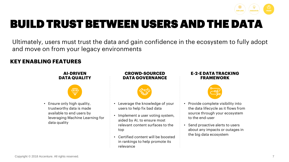

# BUILD TRUST BETWEEN USERS AND THE DATA

Ultimately, users must trust the data and gain confidence in the ecosystem to fully adopt and move on from your legacy environments

### **KEY ENABLING FEATURES**

### **AI-DRIVEN DATA QUALITY**



• Ensure only high quality, trustworthy data is made available to end users by leveraging Machine Learning for data quality

### **CROWD-SOURCED DATA GOVERNANCE**



- Leverage the knowledge of your users to help fix bad data
- Implement a user voting system, aided by AI, to ensure most relevant content surfaces to the top
- Certified content will be boosted in rankings to help promote its relevance

#### **E-2-E DATA TRACKING FRAMEWORK**



- Provide complete visibility into the data lifecycle as it flows from source through your ecosystem to the end-user
- Send proactive alerts to users about any impacts or outages in the big data ecosystem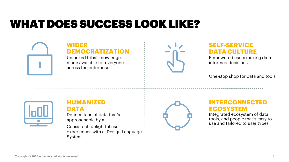# WHAT DOES SUCCESS LOOK LIKE?



# **WIDER DEMOCRATIZATION**

Unlocked tribal knowledge, made available for everyone across the enterprise



# **SELF-SERVICE DATA CULTURE**

Empowered users making datainformed decisions

One-stop shop for data and tools



# **HUMANIZED DATA**

Defined face of data that's approachable by all

Consistent, delightful user experiences with a Design Language System



## **INTERCONNECTED ECOSYSTEM**

Integrated ecosystem of data, tools, and people that's easy to use and tailored to user types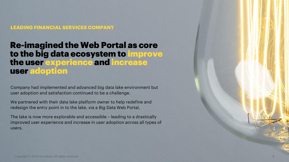**LEADING FINANCIAL SERVICES COMPANY**

# Re-imagined the Web Portal as core to the big data ecosystem to improve the user experience and increase user adoption

Company had implemented and advanced big data lake environment but user adoption and satisfaction continued to be a challenge.

We partnered with their data lake platform owner to help redefine and redesign the entry point in to the lake, via a Big Data Web Portal.

The lake is now more explorable and accessible – leading to a drastically improved user experience and increase in user adoption across all types of users.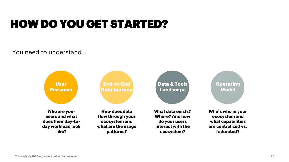# HOW DO YOU GET STARTED?

You need to understand…